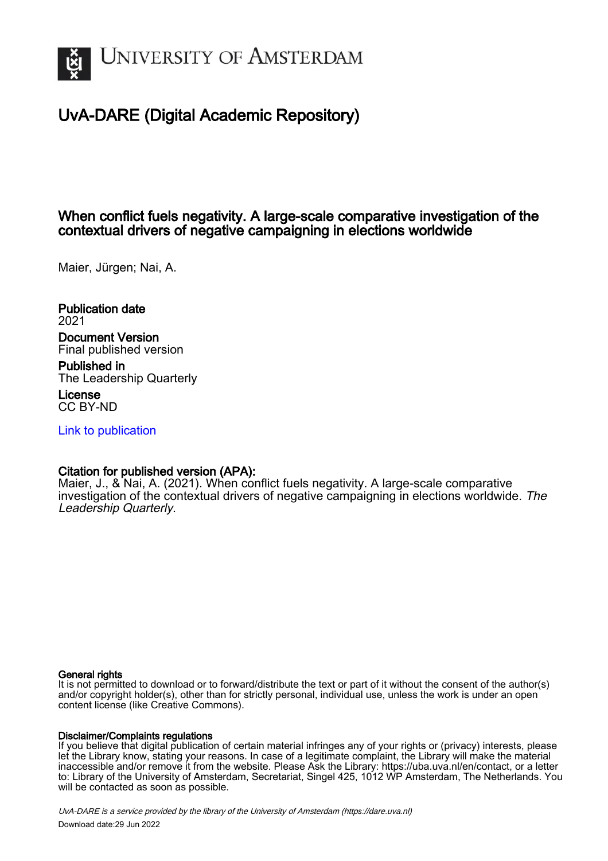

# UvA-DARE (Digital Academic Repository)

# When conflict fuels negativity. A large-scale comparative investigation of the contextual drivers of negative campaigning in elections worldwide

Maier, Jürgen; Nai, A.

Publication date 2021 Document Version Final published version

Published in The Leadership Quarterly

License CC BY-ND

[Link to publication](https://dare.uva.nl/personal/pure/en/publications/when-conflict-fuels-negativity-a-largescale-comparative-investigation-of-the-contextual-drivers-of-negative-campaigning-in-elections-worldwide(506e361e-4872-46c0-a79a-23d11273e293).html)

# Citation for published version (APA):

Maier, J., & Nai, A. (2021). When conflict fuels negativity. A large-scale comparative investigation of the contextual drivers of negative campaigning in elections worldwide. The Leadership Quarterly.

## General rights

It is not permitted to download or to forward/distribute the text or part of it without the consent of the author(s) and/or copyright holder(s), other than for strictly personal, individual use, unless the work is under an open content license (like Creative Commons).

## Disclaimer/Complaints regulations

If you believe that digital publication of certain material infringes any of your rights or (privacy) interests, please let the Library know, stating your reasons. In case of a legitimate complaint, the Library will make the material inaccessible and/or remove it from the website. Please Ask the Library: https://uba.uva.nl/en/contact, or a letter to: Library of the University of Amsterdam, Secretariat, Singel 425, 1012 WP Amsterdam, The Netherlands. You will be contacted as soon as possible.

UvA-DARE is a service provided by the library of the University of Amsterdam (http*s*://dare.uva.nl) Download date:29 Jun 2022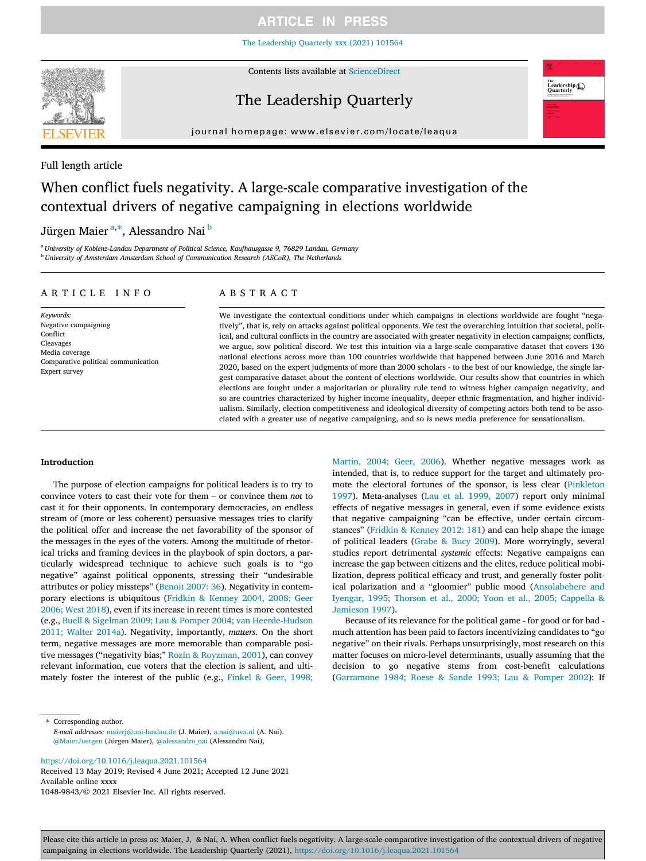[The Leadership Quarterly xxx \(2021\) 101564](https://doi.org/10.1016/j.leaqua.2021.101564)



Contents lists available at [ScienceDirect](http://www.sciencedirect.com/science/journal/10489843)

# The Leadership Quarterly



journal homepage: [www.elsevier.com/locate/leaqua](http://www.elsevier.com/locate/leaqua)

## Full length article

# When conflict fuels negativity. A large-scale comparative investigation of the contextual drivers of negative campaigning in elections worldwide

Jürgen Maier<sup>a,∗</sup>, Alessandro Nai <sup>b</sup>

<sup>a</sup> University of Koblenz-Landau Department of Political Science, Kaufhausgasse 9, 76829 Landau, Germany <sup>b</sup> University of Amsterdam Amsterdam School of Communication Research (ASCoR), The Netherlands

## ARTICLE INFO

Keywords: Negative campaigning Conflict Cleavages Media coverage Comparative political communication Expert survey

## ABSTRACT

We investigate the contextual conditions under which campaigns in elections worldwide are fought "negatively", that is, rely on attacks against political opponents. We test the overarching intuition that societal, political, and cultural conflicts in the country are associated with greater negativity in election campaigns; conflicts, we argue, sow political discord. We test this intuition via a large-scale comparative dataset that covers 136 national elections across more than 100 countries worldwide that happened between June 2016 and March 2020, based on the expert judgments of more than 2000 scholars ‐ to the best of our knowledge, the single largest comparative dataset about the content of elections worldwide. Our results show that countries in which elections are fought under a majoritarian or plurality rule tend to witness higher campaign negativity, and so are countries characterized by higher income inequality, deeper ethnic fragmentation, and higher individualism. Similarly, election competitiveness and ideological diversity of competing actors both tend to be associated with a greater use of negative campaigning, and so is news media preference for sensationalism.

#### Introduction

The purpose of election campaigns for political leaders is to try to convince voters to cast their vote for them – or convince them not to cast it for their opponents. In contemporary democracies, an endless stream of (more or less coherent) persuasive messages tries to clarify the political offer and increase the net favorability of the sponsor of the messages in the eyes of the voters. Among the multitude of rhetorical tricks and framing devices in the playbook of spin doctors, a particularly widespread technique to achieve such goals is to "go negative" against political opponents, stressing their "undesirable attributes or policy missteps" ([Benoit 2007: 36\)](#page-10-0). Negativity in contemporary elections is ubiquitous [\(Fridkin & Kenney 2004, 2008; Geer](#page-10-0) [2006; West 2018\)](#page-10-0), even if its increase in recent times is more contested (e.g., [Buell & Sigelman 2009; Lau & Pomper 2004; van Heerde](#page-10-0)‐Hudson [2011; Walter 2014a\)](#page-10-0). Negativity, importantly, matters. On the short term, negative messages are more memorable than comparable positive messages ("negativity bias;" [Rozin & Royzman, 2001](#page-11-0)), can convey relevant information, cue voters that the election is salient, and ultimately foster the interest of the public (e.g., [Finkel & Geer, 1998;](#page-10-0)

 $\hspace{0.1mm}^*$  Corresponding author. E-mail addresses: [maierj@uni-landau.de](mailto:maierj@uni-landau.de) (J. Maier), [a.nai@uva.nl](mailto:a.nai@uva.nl) (A. Nai). [@MaierJuergen](https://twitter.com/MaierJuergen) (Jürgen Maier), [@alessandro\\_nai](https://twitter.com/alessandro_nai) (Alessandro Nai),

<https://doi.org/10.1016/j.leaqua.2021.101564>

Received 13 May 2019; Revised 4 June 2021; Accepted 12 June 2021 Available online xxxx 1048-9843/© 2021 Elsevier Inc. All rights reserved.

[Martin, 2004; Geer, 2006\)](#page-10-0). Whether negative messages work as intended, that is, to reduce support for the target and ultimately promote the electoral fortunes of the sponsor, is less clear [\(Pinkleton](#page-11-0) [1997\)](#page-11-0). Meta‐analyses ([Lau et al. 1999, 2007](#page-11-0)) report only minimal effects of negative messages in general, even if some evidence exists that negative campaigning "can be effective, under certain circumstances" [\(Fridkin & Kenney 2012: 181](#page-10-0)) and can help shape the image of political leaders [\(Grabe & Bucy 2009](#page-10-0)). More worryingly, several studies report detrimental systemic effects: Negative campaigns can increase the gap between citizens and the elites, reduce political mobilization, depress political efficacy and trust, and generally foster political polarization and a "gloomier" public mood ([Ansolabehere and](#page-10-0) [Iyengar, 1995; Thorson et al., 2000; Yoon et al., 2005; Cappella &](#page-10-0) [Jamieson 1997](#page-10-0)).

Because of its relevance for the political game ‐ for good or for bad ‐ much attention has been paid to factors incentivizing candidates to "go negative" on their rivals. Perhaps unsurprisingly, most research on this matter focuses on micro-level determinants, usually assuming that the decision to go negative stems from cost-benefit calculations ([Garramone 1984; Roese & Sande 1993; Lau & Pomper 2002\)](#page-10-0): If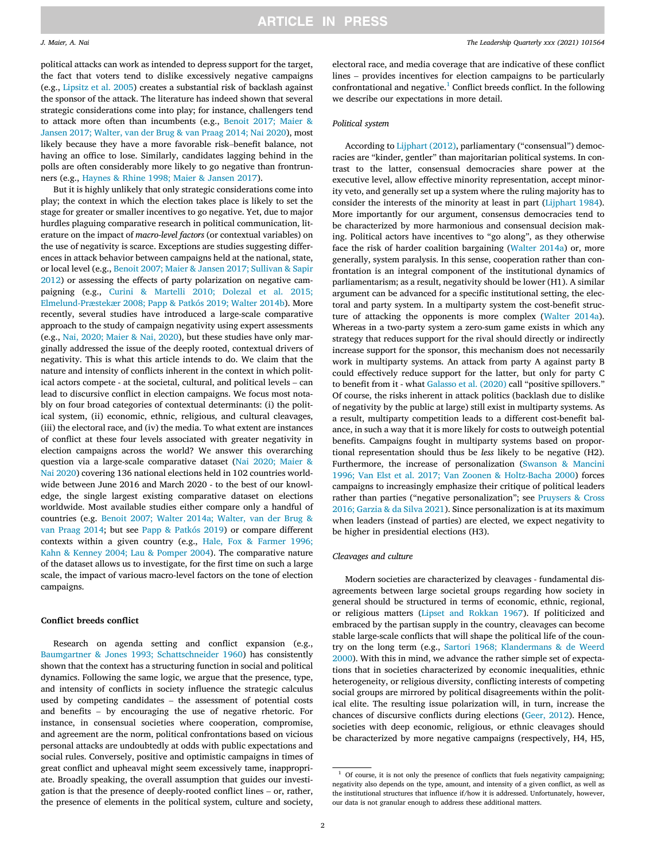political attacks can work as intended to depress support for the target, the fact that voters tend to dislike excessively negative campaigns (e.g., [Lipsitz et al. 2005](#page-11-0)) creates a substantial risk of backlash against the sponsor of the attack. The literature has indeed shown that several strategic considerations come into play; for instance, challengers tend to attack more often than incumbents (e.g., [Benoit 2017; Maier &](#page-10-0) [Jansen 2017; Walter, van der Brug & van Praag 2014; Nai 2020\)](#page-10-0), most strategic considerations come into play; for instance, challengers tend<br>to attack more often than incumbents (e.g., Benoit 2017; Maier &<br>Jansen 2017; Walter, van der Brug & van Praag 2014; Nai 2020), most<br>likely because th having an office to lose. Similarly, candidates lagging behind in the polls are often considerably more likely to go negative than frontrunners (e.g., [Haynes & Rhine 1998; Maier & Jansen 2017](#page-10-0)).

But it is highly unlikely that only strategic considerations come into play; the context in which the election takes place is likely to set the stage for greater or smaller incentives to go negative. Yet, due to major hurdles plaguing comparative research in political communication, literature on the impact of macro-level factors (or contextual variables) on the use of negativity is scarce. Exceptions are studies suggesting differences in attack behavior between campaigns held at the national, state, or local level (e.g., [Benoit 2007; Maier & Jansen 2017; Sullivan & Sapir](#page-10-0) [2012\)](#page-10-0) or assessing the effects of party polarization on negative campaigning (e.g., [Curini & Martelli 2010; Dolezal et al. 2015;](#page-10-0) [Elmelund](#page-10-0)‐[Præstekær 2008; Papp & Patkós 2019; Walter 2014b](#page-10-0)). More recently, several studies have introduced a large‐scale comparative approach to the study of campaign negativity using expert assessments (e.g., [Nai, 2020; Maier & Nai, 2020\)](#page-11-0), but these studies have only marginally addressed the issue of the deeply rooted, contextual drivers of negativity. This is what this article intends to do. We claim that the nature and intensity of conflicts inherent in the context in which politginally addressed the issue of the deeply rooted, contextual drivers of negativity. This is what this article intends to do. We claim that the nature and intensity of conflicts inherent in the context in which political ac lead to discursive conflict in election campaigns. We focus most notably on four broad categories of contextual determinants: (i) the political system, (ii) economic, ethnic, religious, and cultural cleavages, (iii) the electoral race, and (iv) the media. To what extent are instances of conflict at these four levels associated with greater negativity in election campaigns across the world? We answer this overarching question via a large‐scale comparative dataset [\(Nai 2020; Maier &](#page-11-0) [Nai 2020](#page-11-0)) covering 136 national elections held in 102 countries worldwide between June 2016 and March 2020 ‐ to the best of our knowledge, the single largest existing comparative dataset on elections worldwide. Most available studies either compare only a handful of countries (e.g. [Benoit 2007; Walter 2014a; Walter, van der Brug &](#page-10-0) [van Praag 2014;](#page-10-0) but see [Papp & Patkós 2019](#page-11-0)) or compare different contexts within a given country (e.g., [Hale, Fox & Farmer 1996;](#page-10-0) [Kahn & Kenney 2004; Lau & Pomper 2004\)](#page-10-0). The comparative nature of the dataset allows us to investigate, for the first time on such a large scale, the impact of various macro‐level factors on the tone of election campaigns.

#### Conflict breeds conflict

Research on agenda setting and conflict expansion (e.g., [Baumgartner & Jones 1993; Schattschneider 1960\)](#page-10-0) has consistently shown that the context has a structuring function in social and political dynamics. Following the same logic, we argue that the presence, type, and intensity of conflicts in society influence the strategic calculus shown that the context has a structuring function in social and political<br>dynamics. Following the same logic, we argue that the presence, type,<br>and intensity of conflicts in society influence the strategic calculus<br>used by dynamics. Following the same logic, we argue that the presence, type, and intensity of conflicts in society influence the strategic calculus used by competing candidates – the assessment of potential costs and benefits – b instance, in consensual societies where cooperation, compromise, and agreement are the norm, political confrontations based on vicious personal attacks are undoubtedly at odds with public expectations and social rules. Conversely, positive and optimistic campaigns in times of great conflict and upheaval might seem excessively tame, inappropriate. Broadly speaking, the overall assumption that guides our investigation is that great conflict and upheaval might seem excessively tame, inappropriate. Broadly speaking, the overall assumption that guides our investithe presence of elements in the political system, culture and society, electoral race, and media coverage that are indicative of these conflict lines – provides incentives for election campaigns to be particularly confrontational and negative.<sup>1</sup> Conflict breeds conflict. In the following we describe our expectations in more detail.

### Political system

According to [Lijphart \(2012\),](#page-11-0) parliamentary ("consensual") democracies are "kinder, gentler" than majoritarian political systems. In contrast to the latter, consensual democracies share power at the executive level, allow effective minority representation, accept minority veto, and generally set up a system where the ruling majority has to consider the interests of the minority at least in part ([Lijphart 1984](#page-11-0)). More importantly for our argument, consensus democracies tend to be characterized by more harmonious and consensual decision making. Political actors have incentives to "go along", as they otherwise face the risk of harder coalition bargaining ([Walter 2014a](#page-11-0)) or, more generally, system paralysis. In this sense, cooperation rather than confrontation is an integral component of the institutional dynamics of parliamentarism; as a result, negativity should be lower (H1). A similar argument can be advanced for a specific institutional setting, the electoral and party system. In a multiparty system the cost-benefit structure of attacking the opponents is more complex ([Walter 2014a](#page-11-0)). Whereas in a two-party system a zero-sum game exists in which any strategy that reduces support for the rival should directly or indirectly increase support for the sponsor, this mechanism does not necessarily work in multiparty systems. An attack from party A against party B could effectively reduce support for the latter, but only for party C to benefit from it - what [Galasso et al. \(2020\)](#page-10-0) call "positive spillovers." Of course, the risks inherent in attack politics (backlash due to dislike of negativity by the public at large) still exist in multiparty systems. As a result, multiparty competition leads to a different cost‐benefit balance, in such a way that it is more likely for costs to outweigh potential benefits. Campaigns fought in multiparty systems based on proportional representation should thus be less likely to be negative (H2). Furthermore, the increase of personalization [\(Swanson & Mancini](#page-11-0) [1996; Van Elst et al. 2017; Van Zoonen & Holtz](#page-11-0)‐Bacha 2000) forces campaigns to increasingly emphasize their critique of political leaders rather than parties ("negative personalization"; see [Pruysers & Cross](#page-11-0) [2016; Garzia & da Silva 2021](#page-11-0)). Since personalization is at its maximum when leaders (instead of parties) are elected, we expect negativity to be higher in presidential elections (H3).

#### Cleavages and culture

Modern societies are characterized by cleavages ‐ fundamental disagreements between large societal groups regarding how society in general should be structured in terms of economic, ethnic, regional, or religious matters ([Lipset and Rokkan 1967](#page-11-0)). If politicized and embraced by the partisan supply in the country, cleavages can become stable large‐scale conflicts that will shape the political life of the country on the long term (e.g., [Sartori 1968; Klandermans & de Weerd](#page-11-0) [2000\)](#page-11-0). With this in mind, we advance the rather simple set of expectations that in societies characterized by economic inequalities, ethnic heterogeneity, or religious diversity, conflicting interests of competing social groups are mirrored by political disagreements within the political elite. The resulting issue polarization will, in turn, increase the chances of discursive conflicts during elections [\(Geer, 2012\)](#page-10-0). Hence, societies with deep economic, religious, or ethnic cleavages should be characterized by more negative campaigns (respectively, H4, H5,

 $1$  Of course, it is not only the presence of conflicts that fuels negativity campaigning; negativity also depends on the type, amount, and intensity of a given conflict, as well as the institutional structures that influence if/how it is addressed. Unfortunately, however, our data is not granular enough to address these additional matters.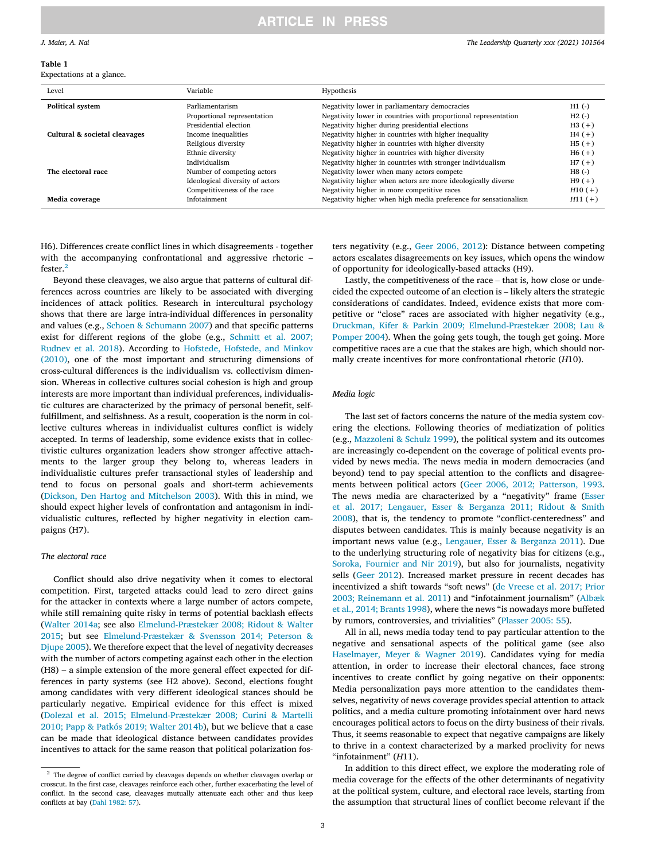#### <span id="page-3-0"></span>Table 1

Expectations at a glance.

| Level                         | Variable                        | Hypothesis                                                      |           |
|-------------------------------|---------------------------------|-----------------------------------------------------------------|-----------|
| <b>Political system</b>       | Parliamentarism                 | Negativity lower in parliamentary democracies                   | $H1$ (-)  |
|                               | Proportional representation     | Negativity lower in countries with proportional representation  | $H2$ (-)  |
|                               | Presidential election           | Negativity higher during presidential elections                 | $H3 (+)$  |
| Cultural & societal cleavages | Income inequalities             | Negativity higher in countries with higher inequality           | $H4(+)$   |
| The electoral race            | Religious diversity             | Negativity higher in countries with higher diversity            | $H5(+)$   |
|                               | Ethnic diversity                | Negativity higher in countries with higher diversity            | $H6 (+)$  |
|                               | Individualism                   | Negativity higher in countries with stronger individualism      | $H7(+)$   |
|                               | Number of competing actors      | Negativity lower when many actors compete                       | $H8$ (-)  |
|                               | Ideological diversity of actors | Negativity higher when actors are more ideologically diverse    | $H9(+)$   |
|                               | Competitiveness of the race     | Negativity higher in more competitive races                     | $H10 (+)$ |
| Media coverage                | Infotainment                    | Negativity higher when high media preference for sensationalism | $H11 (+)$ |

H6). Differences create conflict lines in which disagreements ‐ together H6). Differences create conflict lines in which disagreements - together<br>with the accompanying confrontational and aggressive rhetoric – fester.<sup>2</sup>

Beyond these cleavages, we also argue that patterns of cultural differences across countries are likely to be associated with diverging incidences of attack politics. Research in intercultural psychology shows that there are large intra‐individual differences in personality and values (e.g., [Schoen & Schumann 2007\)](#page-11-0) and that specific patterns exist for different regions of the globe (e.g., [Schmitt et al. 2007;](#page-11-0) [Rudnev et al. 2018\)](#page-11-0). According to [Hofstede, Hofstede, and Minkov](#page-10-0) [\(2010\)](#page-10-0), one of the most important and structuring dimensions of cross‐cultural differences is the individualism vs. collectivism dimension. Whereas in collective cultures social cohesion is high and group interests are more important than individual preferences, individualistic cultures are characterized by the primacy of personal benefit, self‐ fulfillment, and selfishness. As a result, cooperation is the norm in collective cultures whereas in individualist cultures conflict is widely accepted. In terms of leadership, some evidence exists that in collectivistic cultures organization leaders show stronger affective attachments to the larger group they belong to, whereas leaders in individualistic cultures prefer transactional styles of leadership and tend to focus on personal goals and short‐term achievements ([Dickson, Den Hartog and Mitchelson 2003\)](#page-10-0). With this in mind, we should expect higher levels of confrontation and antagonism in individualistic cultures, reflected by higher negativity in election campaigns (H7).

### The electoral race

Conflict should also drive negativity when it comes to electoral competition. First, targeted attacks could lead to zero direct gains for the attacker in contexts where a large number of actors compete, while still remaining quite risky in terms of potential backlash effects ([Walter 2014a](#page-11-0); see also [Elmelund](#page-10-0)‐[Præstekær 2008; Ridout & Walter](#page-10-0) [2015;](#page-10-0) but see [Elmelund](#page-10-0)-[Præstekær & Svensson 2014; Peterson &](#page-10-0) Djupe 2005). We therefore expect that the level of negativity decreases with the number of actors competing against each other in the election (H8) – a simple ex [Djupe 2005](#page-10-0)). We therefore expect that the level of negativity decreases with the number of actors competing against each other in the election ferences in party systems (see H2 above). Second, elections fought among candidates with very different ideological stances should be particularly negative. Empirical evidence for this effect is mixed ([Dolezal et al. 2015; Elmelund](#page-10-0)‐[Præstekær 2008; Curini & Martelli](#page-10-0) [2010; Papp & Patkós 2019; Walter 2014b](#page-10-0)), but we believe that a case can be made that ideological distance between candidates provides incentives to attack for the same reason that political polarization fos-

ters negativity (e.g., [Geer 2006, 2012\)](#page-10-0): Distance between competing actors escalates disagreements on key issues, which opens the window<br>of opportunity for ideologically-based attacks (H9).<br>Lastly, the competitiveness of the race – that is, how close or unde-<br>cided the expected outcome of of opportunity for ideologically‐based attacks (H9).

Lastly, the competitiveness of the race – that is, how close or undeconsiderations of candidates. Indeed, evidence exists that more competitive or "close" races are associated with higher negativity (e.g., [Druckman, Kifer & Parkin 2009; Elmelund](#page-10-0)‐Præstekær 2008; Lau & [Pomper 2004](#page-10-0)). When the going gets tough, the tough get going. More competitive races are a cue that the stakes are high, which should normally create incentives for more confrontational rhetoric (H10).

#### Media logic

The last set of factors concerns the nature of the media system covering the elections. Following theories of mediatization of politics (e.g., [Mazzoleni & Schulz 1999\)](#page-11-0), the political system and its outcomes are increasingly co‐dependent on the coverage of political events provided by news media. The news media in modern democracies (and beyond) tend to pay special attention to the conflicts and disagreements between political actors ([Geer 2006, 2012; Patterson, 1993](#page-10-0). The news media are characterized by a "negativity" frame [\(Esser](#page-10-0) [et al. 2017; Lengauer, Esser & Berganza 2011; Ridout & Smith](#page-10-0) [2008\)](#page-10-0), that is, the tendency to promote "conflict-centeredness" and disputes between candidates. This is mainly because negativity is an important news value (e.g., [Lengauer, Esser & Berganza 2011\)](#page-11-0). Due to the underlying structuring role of negativity bias for citizens (e.g., [Soroka, Fournier and Nir 2019](#page-11-0)), but also for journalists, negativity sells ([Geer 2012](#page-10-0)). Increased market pressure in recent decades has incentivized a shift towards "soft news" [\(de Vreese et al. 2017; Prior](#page-10-0) [2003; Reinemann et al. 2011\)](#page-10-0) and "infotainment journalism" [\(Albæk](#page-10-0) [et al., 2014; Brants 1998\)](#page-10-0), where the news "is nowadays more buffeted by rumors, controversies, and trivialities" [\(Plasser 2005: 55](#page-11-0)).

All in all, news media today tend to pay particular attention to the negative and sensational aspects of the political game (see also [Haselmayer, Meyer & Wagner 2019\)](#page-10-0). Candidates vying for media attention, in order to increase their electoral chances, face strong incentives to create conflict by going negative on their opponents: Media personalization pays more attention to the candidates themselves, negativity of news coverage provides special attention to attack politics, and a media culture promoting infotainment over hard news encourages political actors to focus on the dirty business of their rivals. Thus, it seems reasonable to expect that negative campaigns are likely to thrive in a context characterized by a marked proclivity for news "infotainment" (H11).

In addition to this direct effect, we explore the moderating role of media coverage for the effects of the other determinants of negativity at the political system, culture, and electoral race levels, starting from the assumption that structural lines of conflict become relevant if the

 $^{\rm 2}$  The degree of conflict carried by cleavages depends on whether cleavages overlap or crosscut. In the first case, cleavages reinforce each other, further exacerbating the level of conflict. In the second case, cleavages mutually attenuate each other and thus keep conflicts at bay [\(Dahl 1982: 57\)](#page-10-0).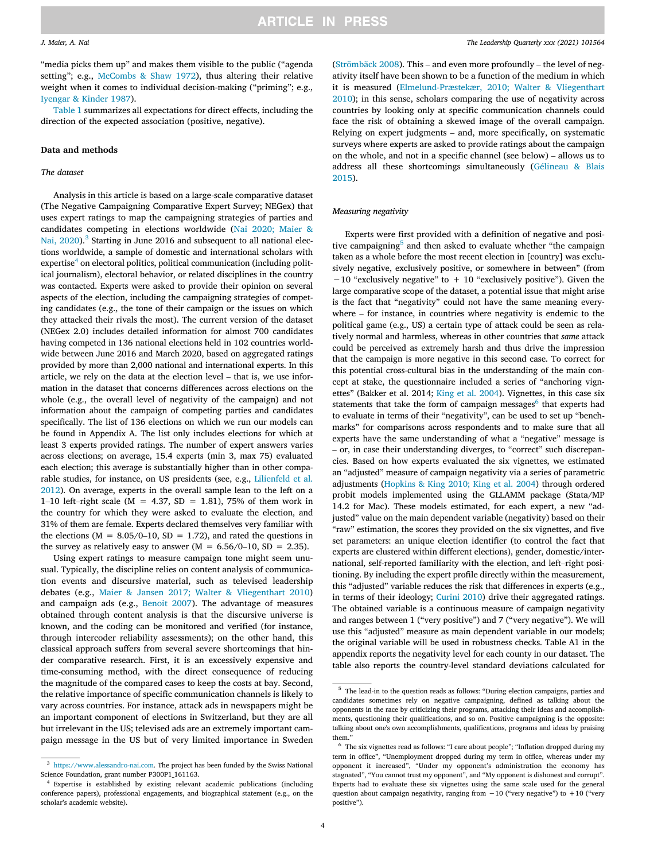"media picks them up" and makes them visible to the public ("agenda setting"; e.g., [McCombs & Shaw 1972\)](#page-11-0), thus altering their relative weight when it comes to individual decision-making ("priming"; e.g., [Iyengar & Kinder 1987\)](#page-10-0).

[Table 1](#page-3-0) summarizes all expectations for direct effects, including the direction of the expected association (positive, negative).

#### Data and methods

#### The dataset

Analysis in this article is based on a large‐scale comparative dataset (The Negative Campaigning Comparative Expert Survey; NEGex) that uses expert ratings to map the campaigning strategies of parties and candidates competing in elections worldwide ([Nai 2020; Maier &](#page-11-0) [Nai, 2020](#page-11-0)).<sup>3</sup> Starting in June 2016 and subsequent to all national elections worldwide, a sample of domestic and international scholars with expertise<sup>4</sup> on electoral politics, political communication (including political journalism), electoral behavior, or related disciplines in the country was contacted. Experts were asked to provide their opinion on several aspects of the election, including the campaigning strategies of competing candidates (e.g., the tone of their campaign or the issues on which they attacked their rivals the most). The current version of the dataset (NEGex 2.0) includes detailed information for almost 700 candidates having competed in 136 national elections held in 102 countries worldwide between June 2016 and March 2020, based on aggregated ratings provided by more than 2,000 national and international experts. In this having competed in 136 national elections held in 102 countries world-<br>wide between June 2016 and March 2020, based on aggregated ratings<br>provided by more than 2,000 national and international experts. In this<br>article, we mation in the dataset that concerns differences across elections on the whole (e.g., the overall level of negativity of the campaign) and not information about the campaign of competing parties and candidates specifically. The list of 136 elections on which we run our models can be found in Appendix A. The list only includes elections for which at least 3 experts provided ratings. The number of expert answers varies across elections; on average, 15.4 experts (min 3, max 75) evaluated each election; this average is substantially higher than in other comparable studies, for instance, on US presidents (see, e.g., [Lilienfeld et al.](#page-11-0) [2012](#page-11-0)). On average, experts in the overall sample lean to the left on a each election; this average is substantially higher than in other comparable studies, for instance, on US presidents (see, e.g., Lilienfeld et al. 2012). On average, experts in the overall sample lean to the left on a 1–1 the country for which they were asked to evaluate the election, and 31% of them are female. Experts declared themselves very familiar with 1–10 left–right scale ( $M = 4.37$ ,  $SD = 1.81$ ), 75% of them work in the country for which they were asked to evaluate the election, and 31% of them are female. Experts declared themselves very familiar with the elections (the elections ( $M = 8.05/0-10$ ,  $SD = 1.72$ ), and rated the questions in the survey as relatively easy to answer ( $M = 6.56/0-10$ ,  $SD = 2.35$ ).

Using expert ratings to measure campaign tone might seem unusual. Typically, the discipline relies on content analysis of communication events and discursive material, such as televised leadership debates (e.g., [Maier & Jansen 2017; Walter & Vliegenthart 2010\)](#page-11-0) and campaign ads (e.g., [Benoit 2007\)](#page-10-0). The advantage of measures obtained through content analysis is that the discursive universe is known, and the coding can be monitored and verified (for instance, through intercoder reliability assessments); on the other hand, this classical approach suffers from several severe shortcomings that hinder comparative research. First, it is an excessively expensive and time‐consuming method, with the direct consequence of reducing the magnitude of the compared cases to keep the costs at bay. Second, the relative importance of specific communication channels is likely to vary across countries. For instance, attack ads in newspapers might be an important component of elections in Switzerland, but they are all but irrelevant in the US; televised ads are an extremely important campaign message in the US but of very limited importance in Sweden

 $^{\rm 3}$  [https://www.alessandro-nai.com.](https://www.alessandro-nai.com) The project has been funded by the Swiss National Science Foundation, grant number P300P1\_161163.

([Strömbäck 2008](#page-11-0)). The Leadership Quarterly xxx (2021) 101564<br>ublic ("agenda (Strömbäck 2008). This – and even more profoundly – the level of negativity itself have been shown to be a function of the medium in which it is measured ([Elmelund](#page-10-0)‐[Præstekær, 2010; Walter & Vliegenthart](#page-10-0) [2010\)](#page-10-0); in this sense, scholars comparing the use of negativity across countries by looking only at specific communication channels could face the risk of obtaining a skewed image of the overall campaign. 2010); in this sense, scholars comparing the use of negativity across countries by looking only at specific communication channels could face the risk of obtaining a skewed image of the overall campaign. Relying on expert surveys where experts are asked to provide ratings about the campaign face the risk of obtaining a skewed image of the overall campaign.<br>Relying on expert judgments – and, more specifically, on systematic<br>surveys where experts are asked to provide ratings about the campaign<br>on the whole, and address all these shortcomings simultaneously [\(Gélineau & Blais](#page-10-0) [2015\)](#page-10-0).

#### Measuring negativity

Experts were first provided with a definition of negative and positive campaigning<sup>5</sup> and then asked to evaluate whether "the campaign taken as a whole before the most recent election in [country] was exclusively negative, exclusively positive, or somewhere in between" (from −10 "exclusively negative" to + 10 "exclusively positive"). Given the large comparative scope of the dataset, a potential issue that might arise is the fact that "negativity" could not have the same meaning every- $-10$  "exclusively negative" to  $+10$  "exclusively positive"). Given the large comparative scope of the dataset, a potential issue that might arise is the fact that "negativity" could not have the same meaning everywhere political game (e.g., US) a certain type of attack could be seen as relatively normal and harmless, whereas in other countries that same attack could be perceived as extremely harsh and thus drive the impression that the campaign is more negative in this second case. To correct for this potential cross‐cultural bias in the understanding of the main concept at stake, the questionnaire included a series of "anchoring vignettes" (Bakker et al. 2014; [King et al. 2004](#page-11-0)). Vignettes, in this case six statements that take the form of campaign messages<sup>6</sup> that experts had to evaluate in terms of their "negativity", can be used to set up "bench-–marks" for comparisons across respondents and to make sure that all experts have the same understanding of what a "negative" message is - or, in case their understanding diverges, to "correct" such discrepancies. Based on how experts evaluated the six vignettes, we estimated an "adjusted" measure of campaign negativity via a series of parametric adjustments [\(Hopkins & King 2010; King et al. 2004\)](#page-10-0) through ordered probit models implemented using the GLLAMM package (Stata/MP 14.2 for Mac). These models estimated, for each expert, a new "adjusted" value on the main dependent variable (negativity) based on their "raw" estimation, the scores they provided on the six vignettes, and five set parameters: an unique election identifier (to control the fact that experts are clustered within different elections), gender, domestic/inter-"raw" estimation, the scores they provided on the six vignettes, and five<br>set parameters: an unique election identifier (to control the fact that<br>experts are clustered within different elections), gender, domestic/inter-<br>n tioning. By including the expert profile directly within the measurement, this "adjusted" variable reduces the risk that differences in experts (e.g., in terms of their ideology; [Curini 2010\)](#page-10-0) drive their aggregated ratings. The obtained variable is a continuous measure of campaign negativity and ranges between 1 ("very positive") and 7 ("very negative"). We will use this "adjusted" measure as main dependent variable in our models; the original variable will be used in robustness checks. Table A1 in the appendix reports the negativity level for each county in our dataset. The table also reports the country‐level standard deviations calculated for

<sup>4</sup> Expertise is established by existing relevant academic publications (including conference papers), professional engagements, and biographical statement (e.g., on the scholar's academic website).

 $^{\rm 5}\,$  The lead-in to the question reads as follows: "During election campaigns, parties and candidates sometimes rely on negative campaigning, defined as talking about the opponents in the race by criticizing their programs, attacking their ideas and accomplishments, questioning their qualifications, and so on. Positive campaigning is the opposite: talking about one's own accomplishments, qualifications, programs and ideas by praising them."

<sup>6</sup> The six vignettes read as follows: "I care about people"; "Inflation dropped during my term in office", "Unemployment dropped during my term in office, whereas under my opponent it increased", "Under my opponent's administration the economy has stagnated", "You cannot trust my opponent", and "My opponent is dishonest and corrupt". Experts had to evaluate these six vignettes using the same scale used for the general question about campaign negativity, ranging from −10 ("very negative") to +10 ("very positive").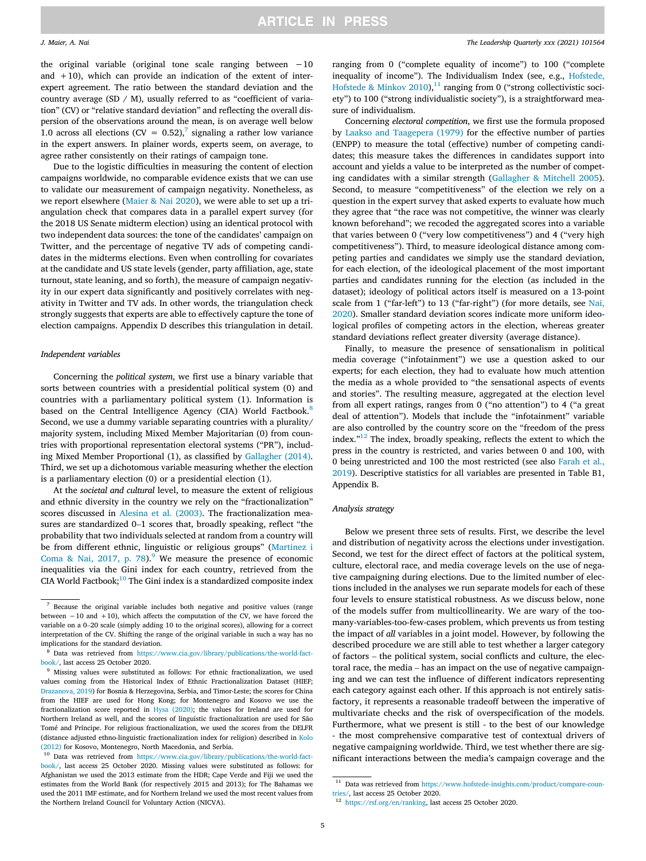the original variable (original tone scale ranging between −10 and  $+10$ ), which can provide an indication of the extent of interexpert agreement. The ratio between the standard deviation and the country average (SD / M), usually referred to as "coefficient of variation" (CV) or "relative standard deviation" and reflecting the overall dispersion of the observations around the mean, is on average well below 1.0 across all elections (CV =  $0.52$ ),<sup>7</sup> signaling a rather low variance in the expert answers. In plainer words, experts seem, on average, to agree rather consistently on their ratings of campaign tone.

Due to the logistic difficulties in measuring the content of election campaigns worldwide, no comparable evidence exists that we can use to validate our measurement of campaign negativity. Nonetheless, as we report elsewhere ([Maier & Nai 2020](#page-11-0)), we were able to set up a triangulation check that compares data in a parallel expert survey (for the 2018 US Senate midterm election) using an identical protocol with two independent data sources: the tone of the candidates' campaign on Twitter, and the percentage of negative TV ads of competing candidates in the midterms elections. Even when controlling for covariates at the candidate and US state levels (gender, party affiliation, age, state turnout, state leaning, and so forth), the measure of campaign negativity in our expert data significantly and positively correlates with negativity in Twitter and TV ads. In other words, the triangulation check strongly suggests that experts are able to effectively capture the tone of election campaigns. Appendix D describes this triangulation in detail.

#### Independent variables

Concerning the political system, we first use a binary variable that sorts between countries with a presidential political system (0) and countries with a parliamentary political system (1). Information is based on the Central Intelligence Agency (CIA) World Factbook.<sup>8</sup> Second, we use a dummy variable separating countries with a plurality/ majority system, including Mixed Member Majoritarian (0) from countries with proportional representation electoral systems ("PR"), including Mixed Member Proportional (1), as classified by [Gallagher \(2014\)](#page-10-0). Third, we set up a dichotomous variable measuring whether the election is a parliamentary election (0) or a presidential election (1).

At the societal and cultural level, to measure the extent of religious and ethnic diversity in the country we rely on the "fractionalization" scores discussed in [Alesina et al. \(2003\)](#page-10-0). The fractionalization mea-At the *societal and cultural* level, to measure the extent of religious<br>and ethnic diversity in the country we rely on the "fractionalization"<br>scores discussed in Alesina et al. (2003). The fractionalization measures are probability that two individuals selected at random from a country will be from different ethnic, linguistic or religious groups" ([Martinez i](#page-11-0) [Coma & Nai, 2017, p. 78](#page-11-0)). $9$  We measure the presence of economic inequalities via the Gini index for each country, retrieved from the CIA World Factbook; $^{10}$  The Gini index is a standardized composite index

ranging from 0 ("complete equality of income") to 100 ("complete inequality of income"). The Individualism Index (see, e.g., [Hofstede,](#page-10-0) [Hofstede & Minkov 2010\)](#page-10-0),<sup>11</sup> ranging from 0 ("strong collectivistic society") to 100 ("strong individualistic society"), is a straightforward measure of individualism.

Concerning electoral competition, we first use the formula proposed by [Laakso and Taagepera \(1979\)](#page-11-0) for the effective number of parties (ENPP) to measure the total (effective) number of competing candidates; this measure takes the differences in candidates support into account and yields a value to be interpreted as the number of competing candidates with a similar strength ([Gallagher & Mitchell 2005](#page-10-0)). Second, to measure "competitiveness" of the election we rely on a question in the expert survey that asked experts to evaluate how much they agree that "the race was not competitive, the winner was clearly known beforehand"; we recoded the aggregated scores into a variable that varies between 0 ("very low competitiveness") and 4 ("very high competitiveness"). Third, to measure ideological distance among competing parties and candidates we simply use the standard deviation, for each election, of the ideological placement of the most important parties and candidates running for the election (as included in the dataset); ideology of political actors itself is measured on a 13‐point scale from 1 ("far-left") to 13 ("far-right") (for more details, see [Nai,](#page-11-0) [2020\)](#page-11-0). Smaller standard deviation scores indicate more uniform ideological profiles of competing actors in the election, whereas greater standard deviations reflect greater diversity (average distance).

Finally, to measure the presence of sensationalism in political media coverage ("infotainment") we use a question asked to our experts; for each election, they had to evaluate how much attention the media as a whole provided to "the sensational aspects of events and stories". The resulting measure, aggregated at the election level from all expert ratings, ranges from 0 ("no attention") to 4 ("a great deal of attention"). Models that include the "infotainment" variable are also controlled by the country score on the "freedom of the press index." <sup>12</sup> The index, broadly speaking, reflects the extent to which the press in the country is restricted, and varies between 0 and 100, with 0 being unrestricted and 100 the most restricted (see also [Farah et al.,](#page-10-0) [2019](#page-10-0)). Descriptive statistics for all variables are presented in Table B1, Appendix B.

### Analysis strategy

Below we present three sets of results. First, we describe the level and distribution of negativity across the elections under investigation. Second, we test for the direct effect of factors at the political system, culture, electoral race, and media coverage levels on the use of negative campaigning during elections. Due to the limited number of elections included in the analyses we run separate models for each of these four levels to ensure statistical robustness. As we discuss below, none of the models suffer from multicollinearity. We are wary of the toomany-variables-too-few-cases problem, which prevents us from testing the impact of *all* variables in a joint model. However, by following the described procedure we are still able to test whether a larger category of fact the impact of *all* variables in a joint model. However, by following the described procedure we are still able to test whether a larger category of factors – the political system, social conflicts and culture, the elector described procedure we are still able to test whether a larger category ing and we can test the influence of different indicators representing each category against each other. If this approach is not entirely satisfactory, it represents a reasonable tradeoff between the imperative of multivariate checks and the risk of overspecification of the models. Furthermore, what we present is still ‐ to the best of our knowledge ‐ the most comprehensive comparative test of contextual drivers of negative campaigning worldwide. Third, we test whether there are significant interactions between the media's campaign coverage and the

 $7$  Because the original variable includes both negative and positive values (range between −10 and +10), which affects the computation of the CV, we have forced the <sup>7</sup> Because the original variable includes both negative and positive values (range between  $-10$  and  $+10$ ), which affects the computation of the CV, we have forced the variable on a 0–20 scale (simply adding 10 to the o interpretation of the CV. Shifting the range of the original variable in such a way has no implications for the standard deviation.

<sup>&</sup>lt;sup>8</sup> Data was retrieved from [https://www.cia.gov/library/publications/the-world-fact](https://www.cia.gov/library/publications/the-world-factbook/)[book/,](https://www.cia.gov/library/publications/the-world-factbook/) last access 25 October 2020.

<sup>9</sup> Missing values were substituted as follows: For ethnic fractionalization, we used values coming from the Historical Index of Ethnic Fractionalization Dataset (HIEF; [Drazanova, 2019](#page-10-0)) for Bosnia & Herzegovina, Serbia, and Timor‐Leste; the scores for China from the HIEF are used for Hong Kong; for Montenegro and Kosovo we use the fractionalization score reported in [Hysa \(2020\)](#page-10-0); the values for Ireland are used for Northern Ireland as well, and the scores of linguistic fractionalization are used for São Tomé and Príncipe. For religious fractionalization, we used the scores from the DELFR (distance adjusted ethno‐linguistic fractionalization index for religion) described in [Kolo](#page-11-0) [\(2012\)](#page-11-0) for Kosovo, Montenegro, North Macedonia, and Serbia.

<sup>10</sup> Data was retrieved from [https://www.cia.gov/library/publications/the-world-fact](https://www.cia.gov/library/publications/the-world-factbook/)[book/,](https://www.cia.gov/library/publications/the-world-factbook/) last access 25 October 2020. Missing values were substituted as follows: for Afghanistan we used the 2013 estimate from the HDR; Cape Verde and Fiji we used the estimates from the World Bank (for respectively 2015 and 2013); for The Bahamas we used the 2011 IMF estimate, and for Northern Ireland we used the most recent values from the Northern Ireland Council for Voluntary Action (NICVA).

 $^{11}\,$  Data was retrieved from [https://www.hofstede-insights.com/product/compare-coun](https://www.hofstede-insights.com/product/compare-countries/)[tries/,](https://www.hofstede-insights.com/product/compare-countries/) last access 25 October 2020.

<sup>&</sup>lt;sup>12</sup> [https://rsf.org/en/ranking,](https://rsf.org/en/ranking) last access 25 October 2020.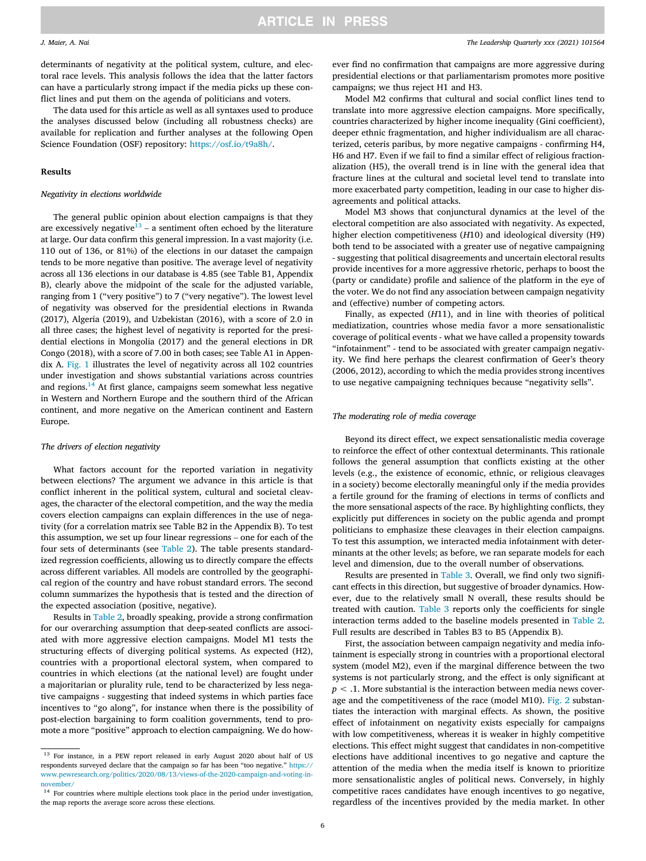determinants of negativity at the political system, culture, and electoral race levels. This analysis follows the idea that the latter factors can have a particularly strong impact if the media picks up these conflict lines and put them on the agenda of politicians and voters.

The data used for this article as well as all syntaxes used to produce the analyses discussed below (including all robustness checks) are available for replication and further analyses at the following Open Science Foundation (OSF) repository: <https://osf.io/t9a8h/>.

#### Results

#### Negativity in elections worldwide

The general public opinion about election campaigns is that they are excessively negative<sup>13</sup> – a sentiment often echoed by the literature at large. Our data confirm this general impression. In a vast majority (i.e. 110 out of 136, or 81%) of the elections in our dataset the campaign tends to be more negative than positive. The average level of negativity across all 136 elections in our database is 4.85 (see Table B1, Appendix B), clearly above the midpoint of the scale for the adjusted variable, ranging from 1 ("very positive") to 7 ("very negative"). The lowest level of negativity was observed for the presidential elections in Rwanda (2017), Algeria (2019), and Uzbekistan (2016), with a score of 2.0 in all three cases; the highest level of negativity is reported for the presidential elections in Mongolia (2017) and the general elections in DR Congo (2018), with a score of 7.00 in both cases; see Table A1 in Appendix A. [Fig. 1](#page-7-0) illustrates the level of negativity across all 102 countries under investigation and shows substantial variations across countries and regions. $14$  At first glance, campaigns seem somewhat less negative in Western and Northern Europe and the southern third of the African continent, and more negative on the American continent and Eastern Europe.

#### The drivers of election negativity

What factors account for the reported variation in negativity between elections? The argument we advance in this article is that conflict inherent in the political system, cultural and societal cleavages, the character of the electoral competition, and the way the media covers election campaigns can explain differences in the use of negativity (for a correlation matrix see Table B2 in the Appendix B). To test this assumption, we set up four linear regressions – one for each of the four sets of determinants (see [Table 2\)](#page-7-0). The table presents standardized regression coefficients, allowing us to directly compare the effects across different variables. All models are controlled by the geographical region of the country and have robust standard errors. The second column summarizes the hypothesis that is tested and the direction of the expected association (positive, negative).

Results in [Table 2,](#page-7-0) broadly speaking, provide a strong confirmation for our overarching assumption that deep-seated conflicts are associated with more aggressive election campaigns. Model M1 tests the structuring effects of diverging political systems. As expected (H2), countries with a proportional electoral system, when compared to countries in which elections (at the national level) are fought under a majoritarian or plurality rule, tend to be characterized by less negative campaigns ‐ suggesting that indeed systems in which parties face incentives to "go along", for instance when there is the possibility of post‐election bargaining to form coalition governments, tend to promote a more "positive" approach to election campaigning. We do however find no confirmation that campaigns are more aggressive during presidential elections or that parliamentarism promotes more positive campaigns; we thus reject H1 and H3.

Model M2 confirms that cultural and social conflict lines tend to translate into more aggressive election campaigns. More specifically, countries characterized by higher income inequality (Gini coefficient), deeper ethnic fragmentation, and higher individualism are all characterized, ceteris paribus, by more negative campaigns ‐ confirming H4, H6 and H7. Even if we fail to find a similar effect of religious fractionalization (H5), the overall trend is in line with the general idea that fracture lines at the cultural and societal level tend to translate into more exacerbated party competition, leading in our case to higher disagreements and political attacks.

Model M3 shows that conjunctural dynamics at the level of the electoral competition are also associated with negativity. As expected, higher election competitiveness (H10) and ideological diversity (H9) both tend to be associated with a greater use of negative campaigning ‐ suggesting that political disagreements and uncertain electoral results provide incentives for a more aggressive rhetoric, perhaps to boost the (party or candidate) profile and salience of the platform in the eye of the voter. We do not find any association between campaign negativity and (effective) number of competing actors.

Finally, as expected (H11), and in line with theories of political mediatization, countries whose media favor a more sensationalistic coverage of political events ‐ what we have called a propensity towards "infotainment" ‐ tend to be associated with greater campaign negativity. We find here perhaps the clearest confirmation of Geer's theory (2006, 2012), according to which the media provides strong incentives to use negative campaigning techniques because "negativity sells".

#### The moderating role of media coverage

Beyond its direct effect, we expect sensationalistic media coverage to reinforce the effect of other contextual determinants. This rationale follows the general assumption that conflicts existing at the other levels (e.g., the existence of economic, ethnic, or religious cleavages in a society) become electorally meaningful only if the media provides a fertile ground for the framing of elections in terms of conflicts and the more sensational aspects of the race. By highlighting conflicts, they explicitly put differences in society on the public agenda and prompt politicians to emphasize these cleavages in their election campaigns. To test this assumption, we interacted media infotainment with determinants at the other levels; as before, we ran separate models for each level and dimension, due to the overall number of observations.

Results are presented in [Table 3.](#page-8-0) Overall, we find only two significant effects in this direction, but suggestive of broader dynamics. However, due to the relatively small N overall, these results should be treated with caution. [Table 3](#page-8-0) reports only the coefficients for single interaction terms added to the baseline models presented in [Table 2](#page-7-0). Full results are described in Tables B3 to B5 (Appendix B).

First, the association between campaign negativity and media infotainment is especially strong in countries with a proportional electoral system (model M2), even if the marginal difference between the two systems is not particularly strong, and the effect is only significant at  $p < 0.1$ . More substantial is the interaction between media news coverage and the competitiveness of the race (model M10). [Fig. 2](#page-8-0) substantiates the interaction with marginal effects. As shown, the positive effect of infotainment on negativity exists especially for campaigns with low competitiveness, whereas it is weaker in highly competitive elections. This effect might suggest that candidates in non‐competitive elections have additional incentives to go negative and capture the attention of the media when the media itself is known to prioritize more sensationalistic angles of political news. Conversely, in highly competitive races candidates have enough incentives to go negative, regardless of the incentives provided by the media market. In other

<sup>13</sup> For instance, in a PEW report released in early August 2020 about half of US respondents surveyed declare that the campaign so far has been "too negative." [https://](https://www.pewresearch.org/politics/2020/08/13/views-of-the-2020-campaign-and-voting-in-november/) [www.pewresearch.org/politics/2020/08/13/views-of-the-2020-campaign-and-voting-in](https://www.pewresearch.org/politics/2020/08/13/views-of-the-2020-campaign-and-voting-in-november/)[november/](https://www.pewresearch.org/politics/2020/08/13/views-of-the-2020-campaign-and-voting-in-november/)

<sup>&</sup>lt;sup>14</sup> For countries where multiple elections took place in the period under investigation, the map reports the average score across these elections.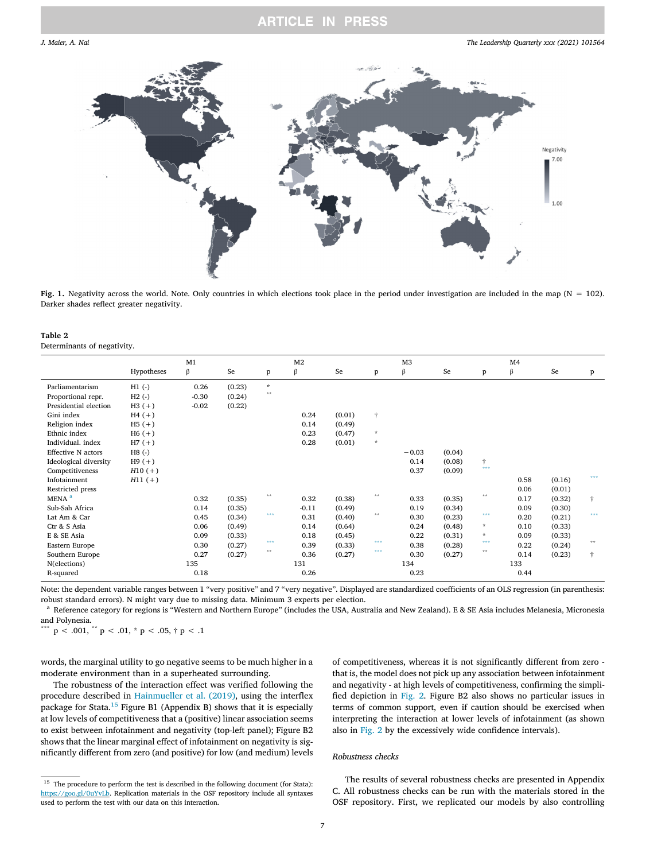<span id="page-7-0"></span>

Fig. 1. Negativity across the world. Note. Only countries in which elections took place in the period under investigation are included in the map (N = 102). Darker shades reflect greater negativity.

| Table 2 |                             |  |
|---------|-----------------------------|--|
|         | Determinants of negativity. |  |

|                           |            | M1      |        |          | M <sub>2</sub> |        |                      | M <sub>3</sub> |        |                        | M <sub>4</sub> |        |     |
|---------------------------|------------|---------|--------|----------|----------------|--------|----------------------|----------------|--------|------------------------|----------------|--------|-----|
|                           | Hypotheses | β       | Se     | P        | β              | Se     | $\mathbf{p}$         | β              | Se     | p                      | β              | Se     | p   |
| Parliamentarism           | $H1$ (-)   | 0.26    | (0.23) | $\star$  |                |        |                      |                |        |                        |                |        |     |
| Proportional repr.        | $H2$ (-)   | $-0.30$ | (0.24) | 含含       |                |        |                      |                |        |                        |                |        |     |
| Presidential election     | $H3 (+)$   | $-0.02$ | (0.22) |          |                |        |                      |                |        |                        |                |        |     |
| Gini index                | $H4 (+)$   |         |        |          | 0.24           | (0.01) | $\ddot{\tau}$        |                |        |                        |                |        |     |
| Religion index            | $H5 (+)$   |         |        |          | 0.14           | (0.49) |                      |                |        |                        |                |        |     |
| Ethnic index              | $H6 (+)$   |         |        |          | 0.23           | (0.47) | $\boldsymbol{\star}$ |                |        |                        |                |        |     |
| Individual, index         | $H7 (+)$   |         |        |          | 0.28           | (0.01) | $\star$              |                |        |                        |                |        |     |
| <b>Effective N</b> actors | $H8$ (-)   |         |        |          |                |        |                      | $-0.03$        | (0.04) |                        |                |        |     |
| Ideological diversity     | $H9 (+)$   |         |        |          |                |        |                      | 0.14           | (0.08) | Ť.                     |                |        |     |
| Competitiveness           | $H10 (+)$  |         |        |          |                |        |                      | 0.37           | (0.09) | 222                    |                |        |     |
| Infotainment              | $H11 (+)$  |         |        |          |                |        |                      |                |        |                        | 0.58           | (0.16) | *** |
| Restricted press          |            |         |        |          |                |        |                      |                |        |                        | 0.06           | (0.01) |     |
| MENA <sup>a</sup>         |            | 0.32    | (0.35) | $\pm\pm$ | 0.32           | (0.38) | $\pm \pm$            | 0.33           | (0.35) | $* *$                  | 0.17           | (0.32) | ÷   |
| Sub-Sah Africa            |            | 0.14    | (0.35) |          | $-0.11$        | (0.49) |                      | 0.19           | (0.34) |                        | 0.09           | (0.30) |     |
| Lat Am & Car              |            | 0.45    | (0.34) | ***      | 0.31           | (0.40) | 含金                   | 0.30           | (0.23) | ***                    | 0.20           | (0.21) | *** |
| Ctr & S Asia              |            | 0.06    | (0.49) |          | 0.14           | (0.64) |                      | 0.24           | (0.48) | $\mathcal{R}$          | 0.10           | (0.33) |     |
| E & SE Asia               |            | 0.09    | (0.33) |          | 0.18           | (0.45) |                      | 0.22           | (0.31) | $\mathcal{R}^{\prime}$ | 0.09           | (0.33) |     |
| Eastern Europe            |            | 0.30    | (0.27) | ***      | 0.39           | (0.33) | ***                  | 0.38           | (0.28) | ***                    | 0.22           | (0.24) | **  |
| Southern Europe           |            | 0.27    | (0.27) | $*$      | 0.36           | (0.27) | ***                  | 0.30           | (0.27) | $* *$                  | 0.14           | (0.23) | ÷   |
| N(elections)              |            | 135     |        |          | 131            |        |                      | 134            |        |                        | 133            |        |     |
| R-squared                 |            | 0.18    |        |          | 0.26           |        |                      | 0.23           |        |                        | 0.44           |        |     |
|                           |            |         |        |          |                |        |                      |                |        |                        |                |        |     |

Note: the dependent variable ranges between 1 "very positive" and 7 "very negative". Displayed are standardized coefficients of an OLS regression (in parenthesis: robust standard errors). N might vary due to missing data. Minimum 3 experts per election.

<sup>a</sup> Reference category for regions is "Western and Northern Europe" (includes the USA, Australia and New Zealand). E & SE Asia includes Melanesia, Micronesia and Polynesia.<br> $p < .001$ .

\*\*  $p < .01, * p < .05, † p < .1$ 

words, the marginal utility to go negative seems to be much higher in a moderate environment than in a superheated surrounding.

The robustness of the interaction effect was verified following the procedure described in [Hainmueller et al. \(2019\)](#page-10-0), using the interflex package for Stata.<sup>15</sup> Figure B1 (Appendix B) shows that it is especially at low levels of competitiveness that a (positive) linear association seems to exist between infotainment and negativity (top-left panel); Figure B2 shows that the linear marginal effect of infotainment on negativity is significantly different from zero (and positive) for low (and medium) levels of competitiveness, whereas it is not significantly different from zero ‐ that is, the model does not pick up any association between infotainment and negativity ‐ at high levels of competitiveness, confirming the simplified depiction in [Fig. 2.](#page-8-0) Figure B2 also shows no particular issues in terms of common support, even if caution should be exercised when interpreting the interaction at lower levels of infotainment (as shown also in [Fig. 2](#page-8-0) by the excessively wide confidence intervals).

### Robustness checks

The results of several robustness checks are presented in Appendix C. All robustness checks can be run with the materials stored in the OSF repository. First, we replicated our models by also controlling

 $^{\rm 15}$  The procedure to perform the test is described in the following document (for Stata): <https://goo.gl/0uYvLb>. Replication materials in the OSF repository include all syntaxes used to perform the test with our data on this interaction.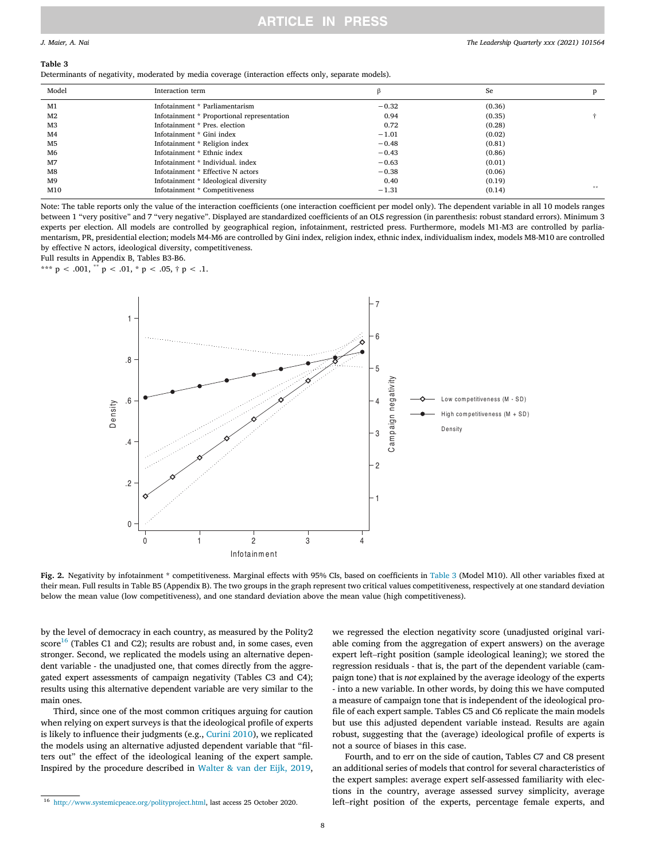#### <span id="page-8-0"></span>Table 3

Determinants of negativity, moderated by media coverage (interaction effects only, separate models).

| Model          | Interaction term                           |         | Se     | D  |
|----------------|--------------------------------------------|---------|--------|----|
| M1             | Infotainment * Parliamentarism             | $-0.32$ | (0.36) |    |
| M2             | Infotainment * Proportional representation | 0.94    | (0.35) |    |
| MЗ             | Infotainment * Pres. election              | 0.72    | (0.28) |    |
| M <sub>4</sub> | Infotainment * Gini index                  | $-1.01$ | (0.02) |    |
| M <sub>5</sub> | Infotainment * Religion index              | $-0.48$ | (0.81) |    |
| M6             | Infotainment * Ethnic index                | $-0.43$ | (0.86) |    |
| M <sub>7</sub> | Inforainment * Individual, index           | $-0.63$ | (0.01) |    |
| M8             | Inforainment * Effective N actors          | $-0.38$ | (0.06) |    |
| M <sub>9</sub> | Infotainment * Ideological diversity       | 0.40    | (0.19) |    |
| M10            | Infotainment * Competitiveness             | $-1.31$ | (0.14) | 含紫 |

Note: The table reports only the value of the interaction coefficients (one interaction coefficient per model only). The dependent variable in all 10 models ranges between 1 "very positive" and 7 "very negative". Displayed are standardized coefficients of an OLS regression (in parenthesis: robust standard errors). Minimum 3 experts per election. All models are controlled by geographical region, infotainment, restricted press. Furthermore, models M1-M3 are controlled by parliamentarism, PR, presidential election; models M4-M6 are controlled by Gini index, religion index, ethnic index, individualism index, models M8-M10 are controlled by effective N actors, ideological diversity, competitiveness.

Full results in Appendix B, Tables B3-B6.

\*\*\*  $p < .001$ , \*\*  $p < .01$ , \*  $p < .05$ , †  $p < .1$ .



Fig. 2. Negativity by infotainment \* competitiveness. Marginal effects with 95% CIs, based on coefficients in Table 3 (Model M10). All other variables fixed at their mean. Full results in Table B5 (Appendix B). The two groups in the graph represent two critical values competitiveness, respectively at one standard deviation below the mean value (low competitiveness), and one standard deviation above the mean value (high competitiveness).

by the level of democracy in each country, as measured by the Polity2  $score<sup>16</sup>$  (Tables C1 and C2); results are robust and, in some cases, even stronger. Second, we replicated the models using an alternative dependent variable - the unadjusted one, that comes directly from the aggregated expert assessments of campaign negativity (Tables C3 and C4); results using this alternative dependent variable are very similar to the main ones.

Third, since one of the most common critiques arguing for caution when relying on expert surveys is that the ideological profile of experts is likely to influence their judgments (e.g., [Curini 2010](#page-10-0)), we replicated the models using an alternative adjusted dependent variable that "filters out" the effect of the ideological leaning of the expert sample. Inspired by the procedure described in [Walter & van der Eijk, 2019](#page-11-0),

we regressed the election negativity score (unadjusted original variable coming from the aggregation of expert answers) on the average expert left–right position (sample ideological leaning); we stored the regression residuals ‐ that is, the part of the dependent variable (campaign tone) that is not explained by the average ideology of the experts ‐ into a new variable. In other words, by doing this we have computed a measure of campaign tone that is independent of the ideological profile of each expert sample. Tables C5 and C6 replicate the main models but use this adjusted dependent variable instead. Results are again robust, suggesting that the (average) ideological profile of experts is not a source of biases in this case.

Fourth, and to err on the side of caution, Tables C7 and C8 present an additional series of models that control for several characteristics of the expert samples: average expert self-assessed familiarity with elections in the country, average assessed survey simplicity, average left-right the expert samples: average expert self‐assessed familiarity with elections in the country, average assessed survey simplicity, average

<sup>16</sup> [http://www.systemicpeace.org/polityproject.html,](http://www.systemicpeace.org/polityproject.html) last access 25 October 2020.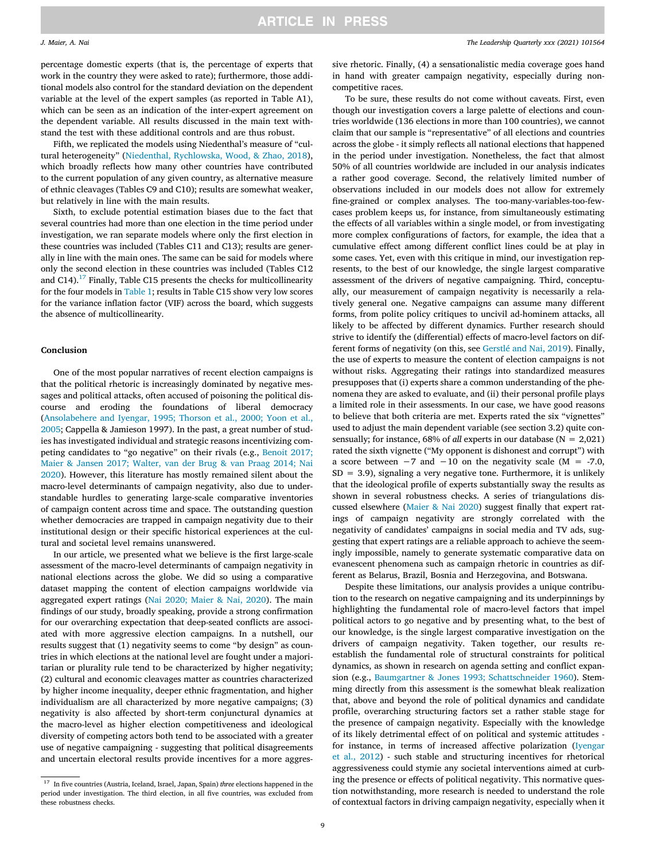percentage domestic experts (that is, the percentage of experts that work in the country they were asked to rate); furthermore, those additional models also control for the standard deviation on the dependent variable at the level of the expert samples (as reported in Table A1), which can be seen as an indication of the inter‐expert agreement on the dependent variable. All results discussed in the main text withstand the test with these additional controls and are thus robust.

Fifth, we replicated the models using Niedenthal's measure of "cultural heterogeneity" ([Niedenthal, Rychlowska, Wood, & Zhao, 2018](#page-11-0)), which broadly reflects how many other countries have contributed to the current population of any given country, as alternative measure of ethnic cleavages (Tables C9 and C10); results are somewhat weaker, but relatively in line with the main results.

Sixth, to exclude potential estimation biases due to the fact that several countries had more than one election in the time period under investigation, we ran separate models where only the first election in these countries was included (Tables C11 and C13); results are generally in line with the main ones. The same can be said for models where only the second election in these countries was included (Tables C12 and  $C14$ <sup>17</sup> Finally, Table C15 presents the checks for multicollinearity for the four models in [Table 1](#page-3-0); results in Table C15 show very low scores for the variance inflation factor (VIF) across the board, which suggests the absence of multicollinearity.

### Conclusion

One of the most popular narratives of recent election campaigns is that the political rhetoric is increasingly dominated by negative messages and political attacks, often accused of poisoning the political discourse and eroding the foundations of liberal democracy ([Ansolabehere and Iyengar, 1995; Thorson et al., 2000; Yoon et al.,](#page-10-0) [2005;](#page-10-0) Cappella & Jamieson 1997). In the past, a great number of studies has investigated individual and strategic reasons incentivizing competing candidates to "go negative" on their rivals (e.g., [Benoit 2017;](#page-10-0) [Maier & Jansen 2017; Walter, van der Brug & van Praag 2014; Nai](#page-10-0) [2020\)](#page-10-0). However, this literature has mostly remained silent about the macro‐level determinants of campaign negativity, also due to understandable hurdles to generating large‐scale comparative inventories of campaign content across time and space. The outstanding question whether democracies are trapped in campaign negativity due to their institutional design or their specific historical experiences at the cultural and societal level remains unanswered.

In our article, we presented what we believe is the first large‐scale assessment of the macro‐level determinants of campaign negativity in national elections across the globe. We did so using a comparative dataset mapping the content of election campaigns worldwide via aggregated expert ratings ([Nai 2020; Maier & Nai, 2020](#page-11-0)). The main findings of our study, broadly speaking, provide a strong confirmation for our overarching expectation that deep‐seated conflicts are associated with more aggressive election campaigns. In a nutshell, our results suggest that (1) negativity seems to come "by design" as countries in which elections at the national level are fought under a majoritarian or plurality rule tend to be characterized by higher negativity; (2) cultural and economic cleavages matter as countries characterized by higher income inequality, deeper ethnic fragmentation, and higher individualism are all characterized by more negative campaigns; (3) negativity is also affected by short‐term conjunctural dynamics at the macro‐level as higher election competitiveness and ideological diversity of competing actors both tend to be associated with a greater use of negative campaigning ‐ suggesting that political disagreements and uncertain electoral results provide incentives for a more aggressive rhetoric. Finally, (4) a sensationalistic media coverage goes hand in hand with greater campaign negativity, especially during noncompetitive races.

To be sure, these results do not come without caveats. First, even though our investigation covers a large palette of elections and countries worldwide (136 elections in more than 100 countries), we cannot claim that our sample is "representative" of all elections and countries across the globe ‐ it simply reflects all national elections that happened in the period under investigation. Nonetheless, the fact that almost 50% of all countries worldwide are included in our analysis indicates a rather good coverage. Second, the relatively limited number of observations included in our models does not allow for extremely fine-grained or complex analyses. The too-many-variables-too-fewcases problem keeps us, for instance, from simultaneously estimating the effects of all variables within a single model, or from investigating more complex configurations of factors, for example, the idea that a cumulative effect among different conflict lines could be at play in some cases. Yet, even with this critique in mind, our investigation represents, to the best of our knowledge, the single largest comparative assessment of the drivers of negative campaigning. Third, conceptually, our measurement of campaign negativity is necessarily a relatively general one. Negative campaigns can assume many different forms, from polite policy critiques to uncivil ad‐hominem attacks, all likely to be affected by different dynamics. Further research should strive to identify the (differential) effects of macro‐level factors on different forms of negativity (on this, see [Gerstlé and Nai, 2019](#page-10-0)). Finally, the use of experts to measure the content of election campaigns is not without risks. Aggregating their ratings into standardized measures presupposes that (i) experts share a common understanding of the phenomena they are asked to evaluate, and (ii) their personal profile plays a limited role in their assessments. In our case, we have good reasons to believe that both criteria are met. Experts rated the six "vignettes" used to adjust the main dependent variable (see section 3.2) quite consensually; for instance, 68% of all experts in our database ( $N = 2,021$ ) rated the sixth vignette ("My opponent is dishonest and corrupt") with a score between  $-7$  and  $-10$  on the negativity scale (M = -7.0,  $SD = 3.9$ , signaling a very negative tone. Furthermore, it is unlikely that the ideological profile of experts substantially sway the results as shown in several robustness checks. A series of triangulations discussed elsewhere ([Maier & Nai 2020](#page-11-0)) suggest finally that expert ratings of campaign negativity are strongly correlated with the negativity of candidates' campaigns in social media and TV ads, suggesting that expert ratings are a reliable approach to achieve the seemingly impossible, namely to generate systematic comparative data on evanescent phenomena such as campaign rhetoric in countries as different as Belarus, Brazil, Bosnia and Herzegovina, and Botswana.

Despite these limitations, our analysis provides a unique contribution to the research on negative campaigning and its underpinnings by highlighting the fundamental role of macro‐level factors that impel political actors to go negative and by presenting what, to the best of our knowledge, is the single largest comparative investigation on the drivers of campaign negativity. Taken together, our results re‐ establish the fundamental role of structural constraints for political dynamics, as shown in research on agenda setting and conflict expansion (e.g., [Baumgartner & Jones 1993; Schattschneider 1960\)](#page-10-0). Stemming directly from this assessment is the somewhat bleak realization that, above and beyond the role of political dynamics and candidate profile, overarching structuring factors set a rather stable stage for the presence of campaign negativity. Especially with the knowledge of its likely detrimental effect of on political and systemic attitudes ‐ for instance, in terms of increased affective polarization ([Iyengar](#page-10-0) [et al., 2012](#page-10-0)) ‐ such stable and structuring incentives for rhetorical aggressiveness could stymie any societal interventions aimed at curbing the presence or effects of political negativity. This normative question notwithstanding, more research is needed to understand the role of contextual factors in driving campaign negativity, especially when it

 $^{17}\,$  In five countries (Austria, Iceland, Israel, Japan, Spain) three elections happened in the period under investigation. The third election, in all five countries, was excluded from these robustness checks.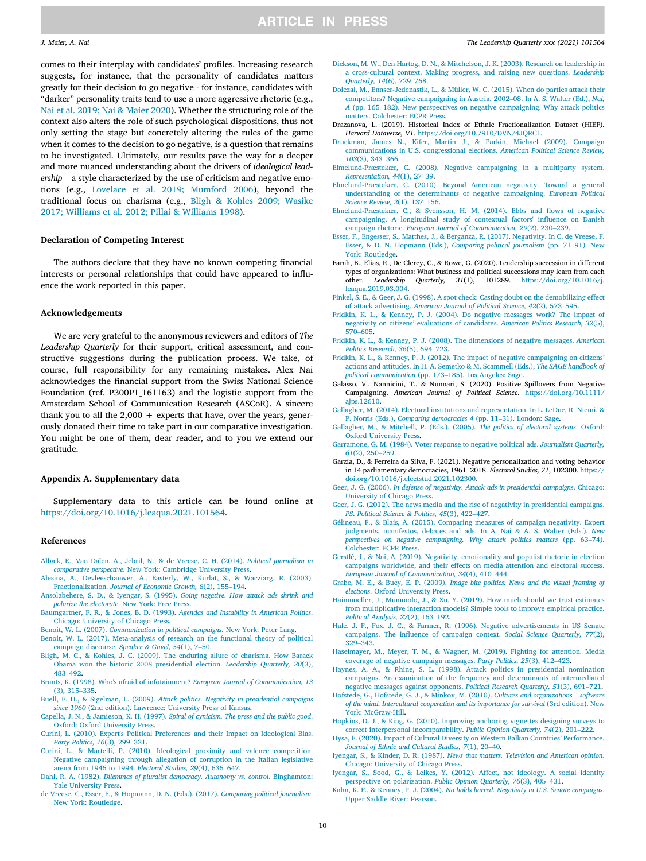<span id="page-10-0"></span>comes to their interplay with candidates' profiles. Increasing research suggests, for instance, that the personality of candidates matters greatly for their decision to go negative ‐ for instance, candidates with "darker" personality traits tend to use a more aggressive rhetoric (e.g., [Nai et al. 2019; Nai & Maier 2020](#page-11-0)). Whether the structuring role of the context also alters the role of such psychological dispositions, thus not only setting the stage but concretely altering the rules of the game when it comes to the decision to go negative, is a question that remains<br>to be investigated. Ultimately, our results pave the way for a deeper<br>and more nuanced understanding about the drivers of *ideological lead-*<br>*ership* to be investigated. Ultimately, our results pave the way for a deeper and more nuanced understanding about the drivers of ideological leadtions (e.g., [Lovelace et al. 2019; Mumford 2006\)](#page-11-0), beyond the traditional focus on charisma (e.g., Bligh & Kohles 2009; Wasike 2017; Williams et al. 2012; Pillai & Williams 1998).

#### Declaration of Competing Interest

The authors declare that they have no known competing financial interests or personal relationships that could have appeared to influence the work reported in this paper.

#### Acknowledgements

We are very grateful to the anonymous reviewers and editors of The Leadership Quarterly for their support, critical assessment, and constructive suggestions during the publication process. We take, of course, full responsibility for any remaining mistakes. Alex Nai acknowledges the financial support from the Swiss National Science Foundation (ref. P300P1\_161163) and the logistic support from the Amsterdam School of Communication Research (ASCoR). A sincere thank you to all the  $2,000 +$  experts that have, over the years, generously donated their time to take part in our comparative investigation. You might be one of them, dear reader, and to you we extend our gratitude.

#### Appendix A. Supplementary data

Supplementary data to this article can be found online at <https://doi.org/10.1016/j.leaqua.2021.101564>.

#### References

- [Albæk, E., Van Dalen, A., Jebril, N., & de Vreese, C. H. \(2014\).](http://refhub.elsevier.com/S1048-9843(21)00069-2/h0005) Political journalism in comparative perspective. New York: Cambridge University Press.<br>Alesina, A., Devleeschauwer, A., Easterly, W., Kurlat, S., & Wacziarg, comparative perspective[. New York: Cambridge University Press.](http://refhub.elsevier.com/S1048-9843(21)00069-2/h0005)
- [Alesina, A., Devleeschauwer, A., Easterly, W., Kurlat, S., & Wacziarg, R. \(2003\).](http://refhub.elsevier.com/S1048-9843(21)00069-2/h0010)
- [Ansolabehere, S. D., & Iyengar, S. \(1995\).](http://refhub.elsevier.com/S1048-9843(21)00069-2/h0015) Going negative. How attack ads shrink and polarize the electorate[. New York: Free Press.](http://refhub.elsevier.com/S1048-9843(21)00069-2/h0015)
- [Baumgartner, F. R., & Jones, B. D. \(1993\).](http://refhub.elsevier.com/S1048-9843(21)00069-2/h0020) Agendas and Instability in American Politics. [Chicago: University of Chicago Press.](http://refhub.elsevier.com/S1048-9843(21)00069-2/h0020)
- Benoit, W. L. (2007). [Communication in political campaigns](http://refhub.elsevier.com/S1048-9843(21)00069-2/h0025). New York: Peter Lang.
- [Benoit, W. L. \(2017\). Meta-analysis of research on the functional theory of political](http://refhub.elsevier.com/S1048-9843(21)00069-2/h0030) campaign *i* run, or bit of chicago Press.<br>Chicago: University of Chicago Press.<br>int, W. L. (2007). *Communication in political campaign*<br>int, W. L. (2017). Meta-analysis of research on the<br>[campaign discourse.](http://refhub.elsevier.com/S1048-9843(21)00069-2/h0030) *Speaker & G*
- [Bligh, M. C., & Kohles, J. C. \(2009\). The enduring allure of charisma. How Barack](http://refhub.elsevier.com/S1048-9843(21)00069-2/h0035) [Obama won the historic 2008 presidential election.](http://refhub.elsevier.com/S1048-9843(21)00069-2/h0035) Leadership Quarterly, 20(3), campaign discourse. Speaker & Gavel, 54(1), 7–50.<br>h, M. C., & Kohles, J. C. (2009). The enduring a<br>Obama won the historic 2008 presidential electi<br>[483](http://refhub.elsevier.com/S1048-9843(21)00069-2/h0035)–[492.](http://refhub.elsevier.com/S1048-9843(21)00069-2/h0035) May, the Chama won the historic 2008 presidential election. *Leadership Quarterly, 20*(3), 483–492.<br>483–492.<br>[Brants, K. \(1998\). Who's afraid of infotainment?](http://refhub.elsevier.com/S1048-9843(21)00069-2/h0040) *European Journal of Communication*, 13<br>[\(3\), 315](http://refhub.elsevier.com/S1048-9843(21)00069-2/h0040)–[335](http://refhub.elsevier.com/S1048-9843(21)00069-2/h0040).
- 
- Buell, E. H., & Sigelman, L. (2009). [Attack politics. Negativity in presidential campaigns](http://refhub.elsevier.com/S1048-9843(21)00069-2/h0045) since 1960 [\(2nd edition\). Lawrence: University Press of Kansas.](http://refhub.elsevier.com/S1048-9843(21)00069-2/h0045)
- Capella, J. N., & Jamieson, K. H. (1997). [Spiral of cynicism. The press and the public good](http://refhub.elsevier.com/S1048-9843(21)00069-2/h0050). [Oxford: Oxford University Press.](http://refhub.elsevier.com/S1048-9843(21)00069-2/h0050) Capella, J. N., & Jamieson, K. H. (1997). Spiral of cynicism. The press and the public good.<br>
Oxford: Oxford University Press.<br> [Curini, L. \(2010\). Expert's Political Preferences and their Impact on Ideological Bias.](http://refhub.elsevier.com/S1048-9843(21)00069-2/h0055)<br> *Part*
- 
- [Curini, L., & Martelli, P. \(2010\). Ideological proximity and valence competition.](http://refhub.elsevier.com/S1048-9843(21)00069-2/h0060) [Negative campaigning through allegation of corruption in the Italian legislative](http://refhub.elsevier.com/S1048-9843(21)00069-2/h0060) arena from 1946 to 1994. *Electoral Studies*, 29(4), 636-647. [arena from 1946 to 1994.](http://refhub.elsevier.com/S1048-9843(21)00069-2/h0060)<br>
Party Politics, 16(3), 299–321.<br>
ni, L., & Martelli, P. (2010). Ideological proximity and<br>
Negative campaigning through allegation of corruption in<br>
arena from 1946 to 1994. *Electoral Studies, 29*
- Dahl, R. A. (1982). [Dilemmas of pluralist democracy. Autonomy vs. control](http://refhub.elsevier.com/S1048-9843(21)00069-2/h0065). Binghamton: [Yale University Press](http://refhub.elsevier.com/S1048-9843(21)00069-2/h0065).
- [de Vreese, C., Esser, F., & Hopmann, D. N. \(Eds.\). \(2017\).](http://refhub.elsevier.com/S1048-9843(21)00069-2/h0070) Comparing political journalism. [New York: Routledge](http://refhub.elsevier.com/S1048-9843(21)00069-2/h0070).
- [Dickson, M. W., Den Hartog, D. N., & Mitchelson, J. K. \(2003\). Research on leadership in](http://refhub.elsevier.com/S1048-9843(21)00069-2/h0075) kson, M. W., Den Hartog, D. N., & Mitchelson, J. K. (2003). Research on leadership in [a cross-cultural context. Making progress, and raising new questions.](http://refhub.elsevier.com/S1048-9843(21)00069-2/h0075) *Leadership* [Quarterly, 14](http://refhub.elsevier.com/S1048-9843(21)00069-2/h0075)(6), 729–[768](http://refhub.elsevier.com/S1048-9843(21)00069-2/h0075). com, an order and context. Making progress, and raising new questions. *Leadership* Quarterly, 14(6), 729–768.<br>Quarterly, 14(6), 729–768.<br>ezal, M., Ennser-Jedenastik, L., & Müller, W. C. (2015). When do parties attack thei
- [Dolezal, M., Ennser-Jedenastik, L., & Müller, W. C. \(2015\). When do parties attack their](http://refhub.elsevier.com/S1048-9843(21)00069-2/h0080) Quarterly, 14(6), 729–768.<br>
Quarterly, 14(6), 729–768.<br>
Ezal, M., Ennser-Jedenastik, L., & Müller, W. C. (2015). When do parties attack their<br>
competitors? Negative campaigning in Austria, 2002–08. In A. S. Walter (Ed.), N [matters. Colchester: ECPR Press](http://refhub.elsevier.com/S1048-9843(21)00069-2/h0080).
- Drazanova, L. (2019). Historical Index of Ethnic Fractionalization Dataset (HIEF).
- Harvard Dataverse, V1. [https://doi.org/10.7910/DVN/4JQRCL.](https://doi.org/10.7910/DVN/4JQRCL)<br>
Ekman, James N., Kifer, Martin J., & Parkin, Michael<br>
communications in U.S. congressional elections. American Poli<br>
103[\(3\), 343](http://refhub.elsevier.com/S1048-9843(21)00069-2/h0090)–[366](http://refhub.elsevier.com/S1048-9843(21)00069-2/h0090). [Druckman, James N., Kifer, Martin J., & Parkin, Michael \(2009\). Campaign](http://refhub.elsevier.com/S1048-9843(21)00069-2/h0090) [communications in U.S. congressional elections.](http://refhub.elsevier.com/S1048-9843(21)00069-2/h0090) American Political Science Review, [Elmelund](http://refhub.elsevier.com/S1048-9843(21)00069-2/h0095) [Præstekær, C. \(2008\). Negative campaigning in a multiparty system.](http://refhub.elsevier.com/S1048-9843(21)00069-2/h0095)<br> [Representation, 44](http://refhub.elsevier.com/S1048-9843(21)00069-2/h0095)(1), 27–[39.](http://refhub.elsevier.com/S1048-9843(21)00069-2/h0095)
- 
- [Elmelund-Præstekær, C. \(2010\). Beyond American negativity. Toward a general](http://refhub.elsevier.com/S1048-9843(21)00069-2/h0100) [understanding of the determinants of negative campaigning.](http://refhub.elsevier.com/S1048-9843(21)00069-2/h0100) In a matteriary system,<br>
Representation, 44(1), 27–39.<br>
understanding of the determinants of negative campaigning. European Political<br> [Science Review, 2](http://refhub.elsevier.com/S1048-9843(21)00069-2/h0100)(1), 137–15 Science Review, 2(1), 137–156.<br>[Elmelund-Præstekær, C., & Svensson, H. M. \(2014\). Ebbs and](http://refhub.elsevier.com/S1048-9843(21)00069-2/h0105) flows of negative
- Science Review, 2(1), 137-156.<br>
elund-Prastekaer, C., & Svensson, H. M. (2014). Ebbs and flows of negative<br> [campaigning. A longitudinal study of contextual factors' in](http://refhub.elsevier.com/S1048-9843(21)00069-2/h0105)fluence on Danish<br>
campaign rhetoric. European Journal [Esser, F., Engesser, S., Matthes, J., & Berganza, R. \(2017\). Negativity. In C. de Vreese, F.](http://refhub.elsevier.com/S1048-9843(21)00069-2/h0110) Esser, F., Engesser, S., Matthes, J., & Berganza, R. (2017). Negativity. In C. de Vreese, F. [Esser, & D. N. Hopmann \(Eds.\),](http://refhub.elsevier.com/S1048-9843(21)00069-2/h0110) Compa
- [York: Routledge](http://refhub.elsevier.com/S1048-9843(21)00069-2/h0110).
- Farah, B., Elias, R., De Clercy, C., & Rowe, G. (2020). Leadership succession in different types of organizations: What business and political successions may learn from each other. Leadership Quarterly,  $31(1)$ ,  $101289$ . https://doi.org/10.1016/j. other. Leadership Quarterly, 31(1), 101289. [https://doi.org/10.1016/j.](https://doi.org/10.1016/j.leaqua.2019.03.004) [leaqua.2019.03.004.](https://doi.org/10.1016/j.leaqua.2019.03.004) [Finkel, S. E., & Geer, J. G. \(1998\). A spot check: Casting doubt on the demobilizing effect](http://refhub.elsevier.com/S1048-9843(21)00069-2/h0120)<br>leagua.2019.03.004.<br>Finkel, S. E., & Geer, J. G. (1998). A spot check: Casting doubt on the demobilizing effect<br>of attack advertis
- 
- [Fridkin, K. L., & Kenney, P. J. \(2004\). Do negative messages work? The impact of](http://refhub.elsevier.com/S1048-9843(21)00069-2/h0125) negativity on citizens' evaluations of candidates. *American Politics Research*, 32(5), negativity on citizens' evaluations of candidates. *American Politics Research*, 32(5), 6570–605.<br>
Rin, K. L., & Kenney, P. J. (2008). of attack advertising. American Journal of Political Science, 42(2), 573–595.<br>Ikin, K. L., & Kenney, P. J. (2004). Do negative messages work? The ir<br>negativity on citizens' evaluations of candidates. American Politics Rese
- [Fridkin, K. L., & Kenney, P. J. \(2008\). The dimensions of negative messages.](http://refhub.elsevier.com/S1048-9843(21)00069-2/h0130) American
- [Fridkin, K. L., & Kenney, P. J. \(2012\). The impact of negative campaigning on citizens](http://refhub.elsevier.com/S1048-9843(21)00069-2/h0135)' [actions and attitudes. In H. A. Semetko & M. Scammell \(Eds.\),](http://refhub.elsevier.com/S1048-9843(21)00069-2/h0135) The SAGE handbook of Politics Research, 36(5), 694–723.<br>Ikin, K. L., & Kenney, P. J. (2012). The impact of negative<br>actions and attitudes. In H. A. Semetko & M. Scammell (Eq<br>[political communication](http://refhub.elsevier.com/S1048-9843(21)00069-2/h0135) (pp. 173–[185\). Los Angeles: Sage.](http://refhub.elsevier.com/S1048-9843(21)00069-2/h0135)
- Galasso, V., Nannicini, T., & Nunnari, S. (2020). Positive Spillovers from Negative Campaigning. American Journal of Political Science. [https://doi.org/10.1111/](https://doi.org/10.1111/ajps.12610)<br>
ajps.12610.<br>
agher, M. (2014). Electoral institutions and representation. In L. LeDuc, R. Niemi, &<br>
P. Norris (Eds.), [Comparing democracies 4](http://refhub.elsevier.com/S1048-9843(21)00069-2/h0145) (p [ajps.12610](https://doi.org/10.1111/ajps.12610).
- [Gallagher, M. \(2014\). Electoral institutions and representation. In L. LeDuc, R. Niemi, &](http://refhub.elsevier.com/S1048-9843(21)00069-2/h0145) P. Norris (Eds.), Comparing democracies 4 (pp. 11-31). London: Sage.
- [Oxford University Press.](http://refhub.elsevier.com/S1048-9843(21)00069-2/h0150)
- [Gallagher, M., & Mitchell, P. \(Eds.\). \(2005\).](http://refhub.elsevier.com/S1048-9843(21)00069-2/h0150) The politics of electoral systems. Oxford:<br>Oxford University Press.<br>Garramone, G. M. (1984). Voter response to negative political ads. Journalism Quarterly,<br>61[\(2\), 250](http://refhub.elsevier.com/S1048-9843(21)00069-2/h0155)–[259.](http://refhub.elsevier.com/S1048-9843(21)00069-2/h0155) [Garramone, G. M. \(1984\). Voter response to negative political ads.](http://refhub.elsevier.com/S1048-9843(21)00069-2/h0155) Journalism Quarterly,
- Garramone, G. M. (1984). Voter response to negative political ads. Journalism Quarterly, 61(2), 250–259.<br>Garzia, D., & Ferreira da Silva, F. (2021). Negative personalization and voting behavior in 14 parliamentary democrac [doi.org/10.1016/j.electstud.2021.102300.](https://doi.org/10.1016/j.electstud.2021.102300)
- Geer, J. G. (2006). [In defense of negativity. Attack ads in presidential campaigns](http://refhub.elsevier.com/S1048-9843(21)00069-2/h0165). Chicago:<br>University of Chicago Press.<br>Geer, J. G. (2012). The news media and the rise of negativity in presidential campaigns.<br>PS. Politic [University of Chicago Press.](http://refhub.elsevier.com/S1048-9843(21)00069-2/h0165)
- [Geer, J. G. \(2012\). The news media and the rise of negativity in presidential campaigns.](http://refhub.elsevier.com/S1048-9843(21)00069-2/h0170)<br>PS. Political Science & Politics, 45(3), 422-427.
- [Gélineau, F., & Blais, A. \(2015\). Comparing measures of campaign negativity. Expert](http://refhub.elsevier.com/S1048-9843(21)00069-2/h0175) [judgments, manifestos, debates and ads. In A. Nai & A. S. Walter \(Eds.\),](http://refhub.elsevier.com/S1048-9843(21)00069-2/h0175) New [perspectives on negative campaigning. Why attack politics matters](http://refhub.elsevier.com/S1048-9843(21)00069-2/h0175) (pp. 63–[74\).](http://refhub.elsevier.com/S1048-9843(21)00069-2/h0175) [Colchester: ECPR Press](http://refhub.elsevier.com/S1048-9843(21)00069-2/h0175).
- [Gerstlé, J., & Nai, A. \(2019\). Negativity, emotionality and populist rhetoric in election](http://refhub.elsevier.com/S1048-9843(21)00069-2/h0180) Colchester: ECPR Press.<br>
European Journal of Confederation and populist rhetoric in election<br> [campaigns worldwide, and their effects on media attention and electoral success.](http://refhub.elsevier.com/S1048-9843(21)00069-2/h0180)<br> [European Journal of Communication, 34](http://refhub.elsevier.com/S1048-9843(21)00069-2/h0180)(4), 410–
- Grabe, M. E., & Bucy, E. P. (2009). [Image bite politics: News and the visual framing of](http://refhub.elsevier.com/S1048-9843(21)00069-2/h0185) elections[. Oxford University Press.](http://refhub.elsevier.com/S1048-9843(21)00069-2/h0185)
- [Hainmueller, J., Mummolo, J., & Xu, Y. \(2019\). How much should we trust estimates](http://refhub.elsevier.com/S1048-9843(21)00069-2/h0190) [from multiplicative interaction models? Simple tools to improve empirical practice.](http://refhub.elsevier.com/S1048-9843(21)00069-2/h0190) elections. Oxford University Press.<br>elections. Oxford University Press.<br>mmueller, J., Mummolo, J., & Xu,<br>from multiplicative interaction me<br>[Political Analysis, 27](http://refhub.elsevier.com/S1048-9843(21)00069-2/h0190)(2), 163–[192](http://refhub.elsevier.com/S1048-9843(21)00069-2/h0190). Political Analysis, 27(2), 163-192.
- [Hale, J. F., Fox, J. C., & Farmer, R. \(1996\). Negative advertisements in US Senate](http://refhub.elsevier.com/S1048-9843(21)00069-2/h0195) campaigns. The infl[uence of campaign context.](http://refhub.elsevier.com/S1048-9843(21)00069-2/h0195) Social Science Quarterly, 77(2), 329-343. er, M., Meyer, T. M., & Wagner, M. (2019). Fighting for attention. Media<br>
209–343.<br> [Haselmayer, M., Meyer, T. M., & Wagner, M. \(2019\). Fighting for attention. Media](http://refhub.elsevier.com/S1048-9843(21)00069-2/h0200)<br> [coverage of negative campaign messages.](http://refhub.elsevier.com/S1048-9843(21)00069-2/h0200) *Party Politics*
- 
- [Haynes, A. A., & Rhine, S. L. \(1998\). Attack politics in presidential nomination](http://refhub.elsevier.com/S1048-9843(21)00069-2/h0205) [campaigns. An examination of the frequency and determinants of intermediated](http://refhub.elsevier.com/S1048-9843(21)00069-2/h0205) negative messages against opponents. Political Research Quarterly, 51(3), 691–721. [negative messages against opponents.](http://refhub.elsevier.com/S1048-9843(21)00069-2/h0205) Politics, 25(3), 412–423.<br>Haynes, A. A., & Rhine, S. L. (1998). Attack politics in presidential nomination<br>campaigns. An examination of the frequency and determinants of intermediated<br>m
- [of the mind. Intercultural cooperation and its importance for survival](http://refhub.elsevier.com/S1048-9843(21)00069-2/h0210) (3rd edition). New [York: McGraw-Hill.](http://refhub.elsevier.com/S1048-9843(21)00069-2/h0210) of the mind. Intercultural cooperation and its importance for survival (3rd edition). New<br>York: McGraw-Hill.<br>[Hopkins, D. J., & King, G. \(2010\). Improving anchoring vignettes designing surveys to](http://refhub.elsevier.com/S1048-9843(21)00069-2/h0215)<br>correct interpersonal incom
- Form: McChain, B. J., & King, G. (2010). Improving anchority correct interpersonal incomparability. *Public Opin*, a, E. (2020). Impact of Cultural Diversity on Wester [Journal of Ethnic and Cultural Studies, 7](http://refhub.elsevier.com/S1048-9843(21)00069-2/h0220)(1), 20–[40](http://refhub.elsevier.com/S1048-9843(21)00069-2/h0220).
- [Hysa, E. \(2020\). Impact of Cultural Diversity on Western Balkan Countries](http://refhub.elsevier.com/S1048-9843(21)00069-2/h0220)' Performance.
- Iyengar, S., & Kinder, D. R. (1987). [News that matters. Television and American opinion](http://refhub.elsevier.com/S1048-9843(21)00069-2/h0225). [Chicago: University of Chicago Press.](http://refhub.elsevier.com/S1048-9843(21)00069-2/h0225) Journal of Ethnic and Cultural Studies, 7(1), 20–40.<br>gar, S., & Kinder, D. R. (1987). News that matters. Television and Amer Chicago: University of Chicago Press.<br>gar, S., Sood, G., & Lelkes, Y. (2012). Affect, not ideolog
- [Iyengar, S., Sood, G., & Lelkes, Y. \(2012\). Affect, not ideology. A social identity](http://refhub.elsevier.com/S1048-9843(21)00069-2/h0230)
- Kahn, K. F., & Kenney, P. J. (2004). [No holds barred. Negativity in U.S. Senate campaigns](http://refhub.elsevier.com/S1048-9843(21)00069-2/h0235). [Upper Saddle River: Pearson](http://refhub.elsevier.com/S1048-9843(21)00069-2/h0235).